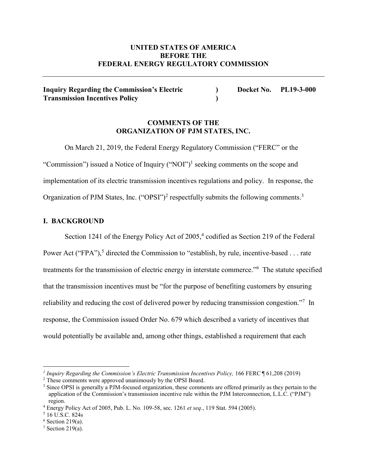# **UNITED STATES OF AMERICA BEFORE THE FEDERAL ENERGY REGULATORY COMMISSION**

**Inquiry Regarding the Commission's Electric ) Docket No. PL19-3-000 Transmission Incentives Policy )**

# **COMMENTS OF THE ORGANIZATION OF PJM STATES, INC.**

On March 21, 2019, the Federal Energy Regulatory Commission ("FERC" or the "Commission") issued a Notice of Inquiry ("NOI")<sup>1</sup> seeking comments on the scope and implementation of its electric transmission incentives regulations and policy. In response, the Organization of PJM States, Inc. ("OPSI")<sup>2</sup> respectfully submits the following comments.<sup>3</sup>

# **I. BACKGROUND**

Section 1241 of the Energy Policy Act of  $2005<sup>4</sup>$  codified as Section 219 of the Federal Power Act ("FPA"),<sup>5</sup> directed the Commission to "establish, by rule, incentive-based . . . rate treatments for the transmission of electric energy in interstate commerce."<sup>6</sup> The statute specified that the transmission incentives must be "for the purpose of benefiting customers by ensuring reliability and reducing the cost of delivered power by reducing transmission congestion."<sup>7</sup> In response, the Commission issued Order No. 679 which described a variety of incentives that would potentially be available and, among other things, established a requirement that each

 $\overline{a}$ 

*<sup>1</sup> Inquiry Regarding the Commission's Electric Transmission Incentives Policy,* 166 FERC ¶ 61,208 (2019)

<sup>&</sup>lt;sup>2</sup> These comments were approved unanimously by the OPSI Board.

<sup>&</sup>lt;sup>3</sup> Since OPSI is generally a PJM-focused organization, these comments are offered primarily as they pertain to the application of the Commission's transmission incentive rule within the PJM Interconnection, L.L.C. ("PJM") region.

<sup>4</sup> Energy Policy Act of 2005, Pub. L. No. 109-58, sec. 1261 *et seq.*, 119 Stat. 594 (2005). 5 16 U.S.C. 824s

 $6$  Section 219(a).

 $7$  Section 219(a).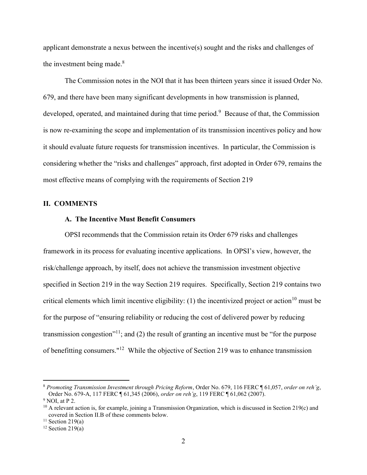applicant demonstrate a nexus between the incentive(s) sought and the risks and challenges of the investment being made. 8

The Commission notes in the NOI that it has been thirteen years since it issued Order No. 679, and there have been many significant developments in how transmission is planned, developed, operated, and maintained during that time period.<sup>9</sup> Because of that, the Commission is now re-examining the scope and implementation of its transmission incentives policy and how it should evaluate future requests for transmission incentives. In particular, the Commission is considering whether the "risks and challenges" approach, first adopted in Order 679, remains the most effective means of complying with the requirements of Section 219

#### **II. COMMENTS**

# **A. The Incentive Must Benefit Consumers**

OPSI recommends that the Commission retain its Order 679 risks and challenges framework in its process for evaluating incentive applications. In OPSI's view, however, the risk/challenge approach, by itself, does not achieve the transmission investment objective specified in Section 219 in the way Section 219 requires. Specifically, Section 219 contains two critical elements which limit incentive eligibility:  $(1)$  the incentivized project or action<sup>10</sup> must be for the purpose of "ensuring reliability or reducing the cost of delivered power by reducing transmission congestion<sup>"11</sup>; and (2) the result of granting an incentive must be "for the purpose" of benefitting consumers."12 While the objective of Section 219 was to enhance transmission

 <sup>8</sup> *Promoting Transmission Investment through Pricing Reform*, Order No. 679, 116 FERC ¶ 61,057, *order on reh'g*, Order No. 679-A, 117 FERC ¶ 61,345 (2006), *order on reh'g*, 119 FERC ¶ 61,062 (2007). 9 NOI, at P 2.

 $10$  A relevant action is, for example, joining a Transmission Organization, which is discussed in Section 219(c) and covered in Section II.B of these comments below.

 $11$  Section 219(a)

<sup>&</sup>lt;sup>12</sup> Section 219(a)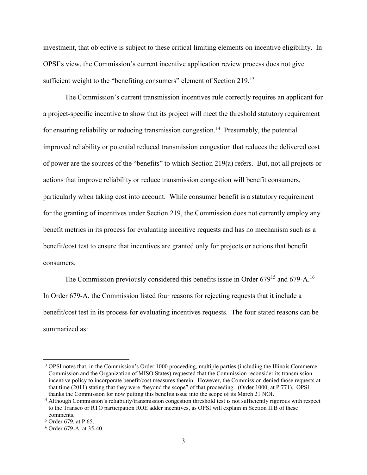investment, that objective is subject to these critical limiting elements on incentive eligibility. In OPSI's view, the Commission's current incentive application review process does not give sufficient weight to the "benefiting consumers" element of Section 219.<sup>13</sup>

The Commission's current transmission incentives rule correctly requires an applicant for a project-specific incentive to show that its project will meet the threshold statutory requirement for ensuring reliability or reducing transmission congestion.<sup>14</sup> Presumably, the potential improved reliability or potential reduced transmission congestion that reduces the delivered cost of power are the sources of the "benefits" to which Section 219(a) refers. But, not all projects or actions that improve reliability or reduce transmission congestion will benefit consumers, particularly when taking cost into account. While consumer benefit is a statutory requirement for the granting of incentives under Section 219, the Commission does not currently employ any benefit metrics in its process for evaluating incentive requests and has no mechanism such as a benefit/cost test to ensure that incentives are granted only for projects or actions that benefit consumers.

The Commission previously considered this benefits issue in Order 679<sup>15</sup> and 679-A.<sup>16</sup> In Order 679-A, the Commission listed four reasons for rejecting requests that it include a benefit/cost test in its process for evaluating incentives requests. The four stated reasons can be summarized as:

<sup>&</sup>lt;sup>13</sup> OPSI notes that, in the Commission's Order 1000 proceeding, multiple parties (including the Illinois Commerce Commission and the Organization of MISO States) requested that the Commission reconsider its transmission incentive policy to incorporate benefit/cost measures therein. However, the Commission denied those requests at that time (2011) stating that they were "beyond the scope" of that proceeding. (Order 1000, at P 771). OPSI thanks the Commission for now putting this benefits issue into the scope of its March 21 NOI.

<sup>&</sup>lt;sup>14</sup> Although Commission's reliability/transmission congestion threshold test is not sufficiently rigorous with respect to the Transco or RTO participation ROE adder incentives, as OPSI will explain in Section II.B of these comments.

<sup>15</sup> Order 679, at P 65.

<sup>16</sup> Order 679-A, at 35-40.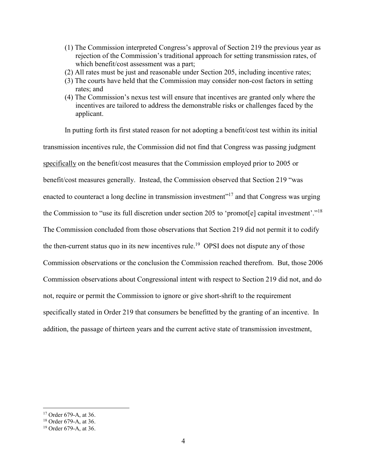- (1) The Commission interpreted Congress's approval of Section 219 the previous year as rejection of the Commission's traditional approach for setting transmission rates, of which benefit/cost assessment was a part;
- (2) All rates must be just and reasonable under Section 205, including incentive rates;
- (3) The courts have held that the Commission may consider non-cost factors in setting rates; and
- (4) The Commission's nexus test will ensure that incentives are granted only where the incentives are tailored to address the demonstrable risks or challenges faced by the applicant.

In putting forth its first stated reason for not adopting a benefit/cost test within its initial transmission incentives rule, the Commission did not find that Congress was passing judgment specifically on the benefit/cost measures that the Commission employed prior to 2005 or benefit/cost measures generally. Instead, the Commission observed that Section 219 "was enacted to counteract a long decline in transmission investment"<sup>17</sup> and that Congress was urging the Commission to "use its full discretion under section 205 to 'promot[e] capital investment'."18 The Commission concluded from those observations that Section 219 did not permit it to codify the then-current status quo in its new incentives rule.<sup>19</sup> OPSI does not dispute any of those Commission observations or the conclusion the Commission reached therefrom. But, those 2006 Commission observations about Congressional intent with respect to Section 219 did not, and do not, require or permit the Commission to ignore or give short-shrift to the requirement specifically stated in Order 219 that consumers be benefitted by the granting of an incentive. In addition, the passage of thirteen years and the current active state of transmission investment,

 <sup>17</sup> Order 679-A, at 36.

<sup>18</sup> Order 679-A, at 36.

<sup>19</sup> Order 679-A, at 36.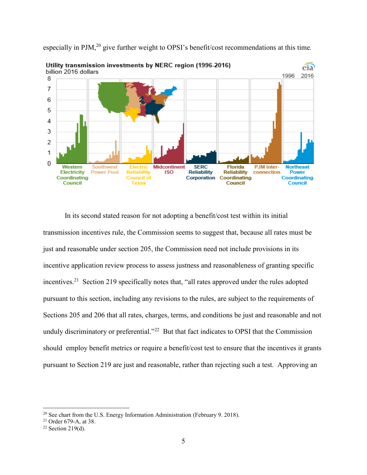

especially in PJM,20 give further weight to OPSI's benefit/cost recommendations at this time*.*

In its second stated reason for not adopting a benefit/cost test within its initial transmission incentives rule, the Commission seems to suggest that, because all rates must be just and reasonable under section 205, the Commission need not include provisions in its incentive application review process to assess justness and reasonableness of granting specific incentives.<sup>21</sup> Section 219 specifically notes that, "all rates approved under the rules adopted pursuant to this section, including any revisions to the rules, are subject to the requirements of Sections 205 and 206 that all rates, charges, terms, and conditions be just and reasonable and not unduly discriminatory or preferential."<sup>22</sup> But that fact indicates to OPSI that the Commission should employ benefit metrics or require a benefit/cost test to ensure that the incentives it grants pursuant to Section 219 are just and reasonable, rather than rejecting such a test. Approving an

<sup>&</sup>lt;sup>20</sup> See chart from the U.S. Energy Information Administration (February 9. 2018).

<sup>21</sup> Order 679-A, at 38.

 $22$  Section 219(d).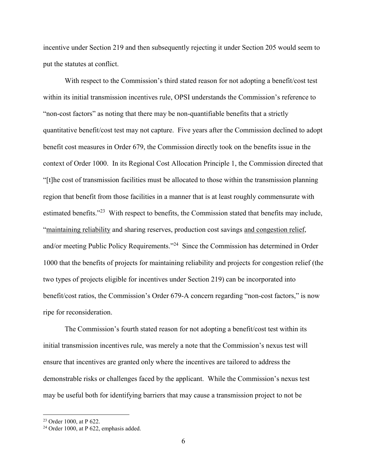incentive under Section 219 and then subsequently rejecting it under Section 205 would seem to put the statutes at conflict.

With respect to the Commission's third stated reason for not adopting a benefit/cost test within its initial transmission incentives rule, OPSI understands the Commission's reference to "non-cost factors" as noting that there may be non-quantifiable benefits that a strictly quantitative benefit/cost test may not capture. Five years after the Commission declined to adopt benefit cost measures in Order 679, the Commission directly took on the benefits issue in the context of Order 1000. In its Regional Cost Allocation Principle 1, the Commission directed that "[t]he cost of transmission facilities must be allocated to those within the transmission planning region that benefit from those facilities in a manner that is at least roughly commensurate with estimated benefits."<sup>23</sup> With respect to benefits, the Commission stated that benefits may include, "maintaining reliability and sharing reserves, production cost savings and congestion relief, and/or meeting Public Policy Requirements."24 Since the Commission has determined in Order 1000 that the benefits of projects for maintaining reliability and projects for congestion relief (the two types of projects eligible for incentives under Section 219) can be incorporated into benefit/cost ratios, the Commission's Order 679-A concern regarding "non-cost factors," is now ripe for reconsideration.

The Commission's fourth stated reason for not adopting a benefit/cost test within its initial transmission incentives rule, was merely a note that the Commission's nexus test will ensure that incentives are granted only where the incentives are tailored to address the demonstrable risks or challenges faced by the applicant. While the Commission's nexus test may be useful both for identifying barriers that may cause a transmission project to not be

 <sup>23</sup> Order 1000, at P 622.

<sup>24</sup> Order 1000, at P 622, emphasis added.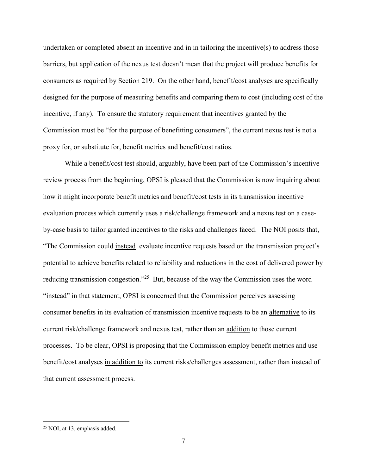undertaken or completed absent an incentive and in in tailoring the incentive(s) to address those barriers, but application of the nexus test doesn't mean that the project will produce benefits for consumers as required by Section 219. On the other hand, benefit/cost analyses are specifically designed for the purpose of measuring benefits and comparing them to cost (including cost of the incentive, if any). To ensure the statutory requirement that incentives granted by the Commission must be "for the purpose of benefitting consumers", the current nexus test is not a proxy for, or substitute for, benefit metrics and benefit/cost ratios.

While a benefit/cost test should, arguably, have been part of the Commission's incentive review process from the beginning, OPSI is pleased that the Commission is now inquiring about how it might incorporate benefit metrics and benefit/cost tests in its transmission incentive evaluation process which currently uses a risk/challenge framework and a nexus test on a caseby-case basis to tailor granted incentives to the risks and challenges faced. The NOI posits that, "The Commission could instead evaluate incentive requests based on the transmission project's potential to achieve benefits related to reliability and reductions in the cost of delivered power by reducing transmission congestion."<sup>25</sup> But, because of the way the Commission uses the word "instead" in that statement, OPSI is concerned that the Commission perceives assessing consumer benefits in its evaluation of transmission incentive requests to be an alternative to its current risk/challenge framework and nexus test, rather than an addition to those current processes. To be clear, OPSI is proposing that the Commission employ benefit metrics and use benefit/cost analyses in addition to its current risks/challenges assessment, rather than instead of that current assessment process.

 <sup>25</sup> NOI, at 13, emphasis added.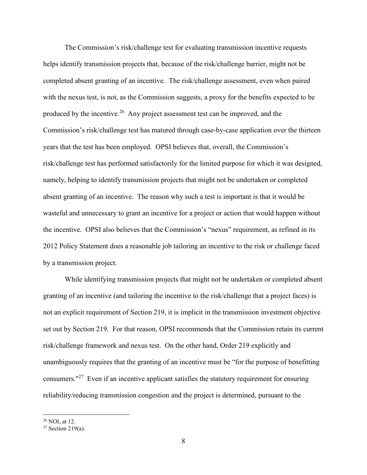The Commission's risk/challenge test for evaluating transmission incentive requests helps identify transmission projects that, because of the risk/challenge barrier, might not be completed absent granting of an incentive. The risk/challenge assessment, even when paired with the nexus test, is not, as the Commission suggests, a proxy for the benefits expected to be produced by the incentive.26 Any project assessment test can be improved, and the Commission's risk/challenge test has matured through case-by-case application over the thirteen years that the test has been employed. OPSI believes that, overall, the Commission's risk/challenge test has performed satisfactorily for the limited purpose for which it was designed, namely, helping to identify transmission projects that might not be undertaken or completed absent granting of an incentive. The reason why such a test is important is that it would be wasteful and unnecessary to grant an incentive for a project or action that would happen without the incentive. OPSI also believes that the Commission's "nexus" requirement, as refined in its 2012 Policy Statement does a reasonable job tailoring an incentive to the risk or challenge faced by a transmission project.

While identifying transmission projects that might not be undertaken or completed absent granting of an incentive (and tailoring the incentive to the risk/challenge that a project faces) is not an explicit requirement of Section 219, it is implicit in the transmission investment objective set out by Section 219. For that reason, OPSI recommends that the Commission retain its current risk/challenge framework and nexus test. On the other hand, Order 219 explicitly and unambiguously requires that the granting of an incentive must be "for the purpose of benefitting consumers."27 Even if an incentive applicant satisfies the statutory requirement for ensuring reliability/reducing transmission congestion and the project is determined, pursuant to the

 <sup>26</sup> NOI, at 12.

 $27$  Section 219(a).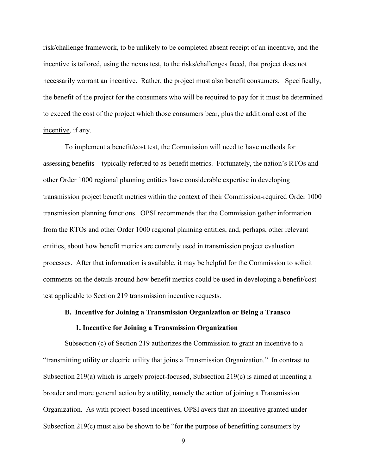risk/challenge framework, to be unlikely to be completed absent receipt of an incentive, and the incentive is tailored, using the nexus test, to the risks/challenges faced, that project does not necessarily warrant an incentive. Rather, the project must also benefit consumers. Specifically, the benefit of the project for the consumers who will be required to pay for it must be determined to exceed the cost of the project which those consumers bear, plus the additional cost of the incentive, if any.

To implement a benefit/cost test, the Commission will need to have methods for assessing benefits—typically referred to as benefit metrics. Fortunately, the nation's RTOs and other Order 1000 regional planning entities have considerable expertise in developing transmission project benefit metrics within the context of their Commission-required Order 1000 transmission planning functions. OPSI recommends that the Commission gather information from the RTOs and other Order 1000 regional planning entities, and, perhaps, other relevant entities, about how benefit metrics are currently used in transmission project evaluation processes. After that information is available, it may be helpful for the Commission to solicit comments on the details around how benefit metrics could be used in developing a benefit/cost test applicable to Section 219 transmission incentive requests.

# **B. Incentive for Joining a Transmission Organization or Being a Transco**

# **1. Incentive for Joining a Transmission Organization**

Subsection (c) of Section 219 authorizes the Commission to grant an incentive to a "transmitting utility or electric utility that joins a Transmission Organization." In contrast to Subsection 219(a) which is largely project-focused, Subsection 219(c) is aimed at incenting a broader and more general action by a utility, namely the action of joining a Transmission Organization. As with project-based incentives, OPSI avers that an incentive granted under Subsection 219(c) must also be shown to be "for the purpose of benefitting consumers by

9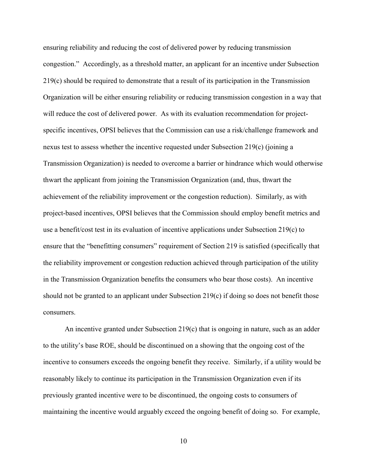ensuring reliability and reducing the cost of delivered power by reducing transmission congestion." Accordingly, as a threshold matter, an applicant for an incentive under Subsection 219(c) should be required to demonstrate that a result of its participation in the Transmission Organization will be either ensuring reliability or reducing transmission congestion in a way that will reduce the cost of delivered power. As with its evaluation recommendation for projectspecific incentives, OPSI believes that the Commission can use a risk/challenge framework and nexus test to assess whether the incentive requested under Subsection 219(c) (joining a Transmission Organization) is needed to overcome a barrier or hindrance which would otherwise thwart the applicant from joining the Transmission Organization (and, thus, thwart the achievement of the reliability improvement or the congestion reduction). Similarly, as with project-based incentives, OPSI believes that the Commission should employ benefit metrics and use a benefit/cost test in its evaluation of incentive applications under Subsection 219(c) to ensure that the "benefitting consumers" requirement of Section 219 is satisfied (specifically that the reliability improvement or congestion reduction achieved through participation of the utility in the Transmission Organization benefits the consumers who bear those costs). An incentive should not be granted to an applicant under Subsection 219(c) if doing so does not benefit those consumers.

An incentive granted under Subsection 219(c) that is ongoing in nature, such as an adder to the utility's base ROE, should be discontinued on a showing that the ongoing cost of the incentive to consumers exceeds the ongoing benefit they receive. Similarly, if a utility would be reasonably likely to continue its participation in the Transmission Organization even if its previously granted incentive were to be discontinued, the ongoing costs to consumers of maintaining the incentive would arguably exceed the ongoing benefit of doing so. For example,

10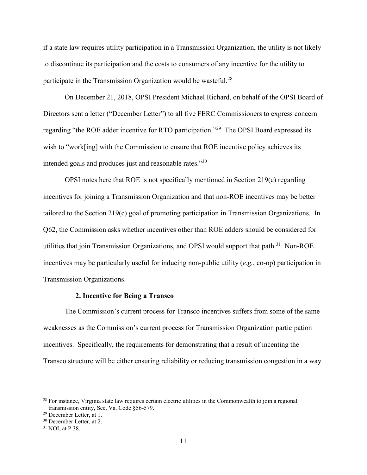if a state law requires utility participation in a Transmission Organization, the utility is not likely to discontinue its participation and the costs to consumers of any incentive for the utility to participate in the Transmission Organization would be wasteful.<sup>28</sup>

On December 21, 2018, OPSI President Michael Richard, on behalf of the OPSI Board of Directors sent a letter ("December Letter") to all five FERC Commissioners to express concern regarding "the ROE adder incentive for RTO participation."29 The OPSI Board expressed its wish to "work[ing] with the Commission to ensure that ROE incentive policy achieves its intended goals and produces just and reasonable rates."30

OPSI notes here that ROE is not specifically mentioned in Section 219(c) regarding incentives for joining a Transmission Organization and that non-ROE incentives may be better tailored to the Section 219(c) goal of promoting participation in Transmission Organizations. In Q62, the Commission asks whether incentives other than ROE adders should be considered for utilities that join Transmission Organizations, and OPSI would support that path.<sup>31</sup> Non-ROE incentives may be particularly useful for inducing non-public utility (*e.g.*, co-op) participation in Transmission Organizations.

#### **2. Incentive for Being a Transco**

The Commission's current process for Transco incentives suffers from some of the same weaknesses as the Commission's current process for Transmission Organization participation incentives. Specifically, the requirements for demonstrating that a result of incenting the Transco structure will be either ensuring reliability or reducing transmission congestion in a way

<sup>&</sup>lt;sup>28</sup> For instance, Virginia state law requires certain electric utilities in the Commonwealth to join a regional transmission entity, See, Va. Code §56-579.

<sup>29</sup> December Letter, at 1.

<sup>&</sup>lt;sup>30</sup> December Letter, at 2.

<sup>31</sup> NOI, at P 38.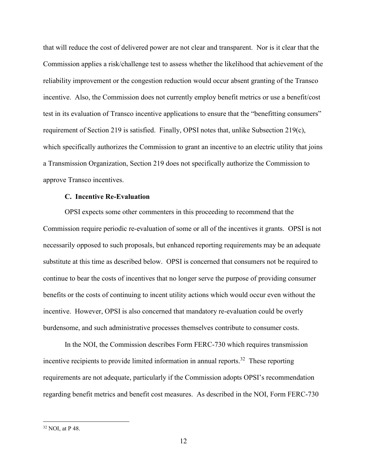that will reduce the cost of delivered power are not clear and transparent. Nor is it clear that the Commission applies a risk/challenge test to assess whether the likelihood that achievement of the reliability improvement or the congestion reduction would occur absent granting of the Transco incentive. Also, the Commission does not currently employ benefit metrics or use a benefit/cost test in its evaluation of Transco incentive applications to ensure that the "benefitting consumers" requirement of Section 219 is satisfied. Finally, OPSI notes that, unlike Subsection 219(c), which specifically authorizes the Commission to grant an incentive to an electric utility that joins a Transmission Organization, Section 219 does not specifically authorize the Commission to approve Transco incentives.

# **C. Incentive Re-Evaluation**

OPSI expects some other commenters in this proceeding to recommend that the Commission require periodic re-evaluation of some or all of the incentives it grants. OPSI is not necessarily opposed to such proposals, but enhanced reporting requirements may be an adequate substitute at this time as described below. OPSI is concerned that consumers not be required to continue to bear the costs of incentives that no longer serve the purpose of providing consumer benefits or the costs of continuing to incent utility actions which would occur even without the incentive. However, OPSI is also concerned that mandatory re-evaluation could be overly burdensome, and such administrative processes themselves contribute to consumer costs.

In the NOI, the Commission describes Form FERC-730 which requires transmission incentive recipients to provide limited information in annual reports.<sup>32</sup> These reporting requirements are not adequate, particularly if the Commission adopts OPSI's recommendation regarding benefit metrics and benefit cost measures. As described in the NOI, Form FERC-730

 <sup>32</sup> NOI, at P 48.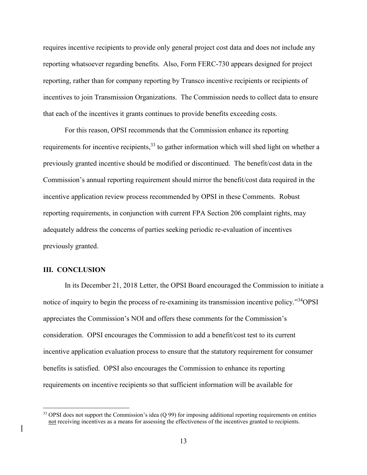requires incentive recipients to provide only general project cost data and does not include any reporting whatsoever regarding benefits. Also, Form FERC-730 appears designed for project reporting, rather than for company reporting by Transco incentive recipients or recipients of incentives to join Transmission Organizations. The Commission needs to collect data to ensure that each of the incentives it grants continues to provide benefits exceeding costs.

For this reason, OPSI recommends that the Commission enhance its reporting requirements for incentive recipients,<sup>33</sup> to gather information which will shed light on whether a previously granted incentive should be modified or discontinued. The benefit/cost data in the Commission's annual reporting requirement should mirror the benefit/cost data required in the incentive application review process recommended by OPSI in these Comments. Robust reporting requirements, in conjunction with current FPA Section 206 complaint rights, may adequately address the concerns of parties seeking periodic re-evaluation of incentives previously granted.

### **III. CONCLUSION**

In its December 21, 2018 Letter, the OPSI Board encouraged the Commission to initiate a notice of inquiry to begin the process of re-examining its transmission incentive policy."34OPSI appreciates the Commission's NOI and offers these comments for the Commission's consideration. OPSI encourages the Commission to add a benefit/cost test to its current incentive application evaluation process to ensure that the statutory requirement for consumer benefits is satisfied. OPSI also encourages the Commission to enhance its reporting requirements on incentive recipients so that sufficient information will be available for

 $33$  OPSI does not support the Commission's idea  $(Q 99)$  for imposing additional reporting requirements on entities not receiving incentives as a means for assessing the effectiveness of the incentives granted to recipients.